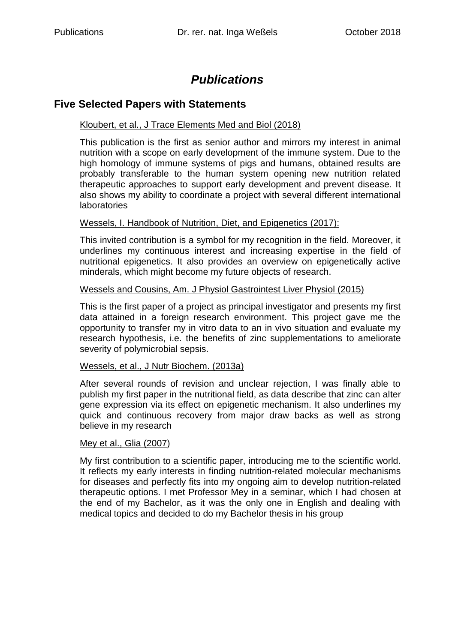# *Publications*

## **Five Selected Papers with Statements**

## Kloubert, et al., J Trace Elements Med and Biol (2018)

This publication is the first as senior author and mirrors my interest in animal nutrition with a scope on early development of the immune system. Due to the high homology of immune systems of pigs and humans, obtained results are probably transferable to the human system opening new nutrition related therapeutic approaches to support early development and prevent disease. It also shows my ability to coordinate a project with several different international laboratories

#### Wessels, I. Handbook of Nutrition, Diet, and Epigenetics (2017):

This invited contribution is a symbol for my recognition in the field. Moreover, it underlines my continuous interest and increasing expertise in the field of nutritional epigenetics. It also provides an overview on epigenetically active minderals, which might become my future objects of research.

#### Wessels and Cousins, Am. J Physiol Gastrointest Liver Physiol (2015)

This is the first paper of a project as principal investigator and presents my first data attained in a foreign research environment. This project gave me the opportunity to transfer my in vitro data to an in vivo situation and evaluate my research hypothesis, i.e. the benefits of zinc supplementations to ameliorate severity of polymicrobial sepsis.

#### Wessels, et al., J Nutr Biochem. (2013a)

After several rounds of revision and unclear rejection, I was finally able to publish my first paper in the nutritional field, as data describe that zinc can alter gene expression via its effect on epigenetic mechanism. It also underlines my quick and continuous recovery from major draw backs as well as strong believe in my research

#### Mey et al., Glia (2007)

My first contribution to a scientific paper, introducing me to the scientific world. It reflects my early interests in finding nutrition-related molecular mechanisms for diseases and perfectly fits into my ongoing aim to develop nutrition-related therapeutic options. I met Professor Mey in a seminar, which I had chosen at the end of my Bachelor, as it was the only one in English and dealing with medical topics and decided to do my Bachelor thesis in his group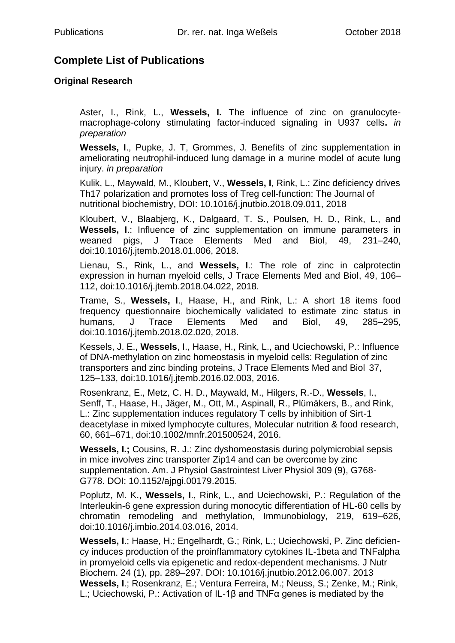## **Complete List of Publications**

## **Original Research**

Aster, I., Rink, L., **Wessels, I.** The influence of zinc on granulocytemacrophage-colony stimulating factor-induced signaling in U937 cells**.** *in preparation*

**Wessels, I**., Pupke, J. T, Grommes, J. Benefits of zinc supplementation in ameliorating neutrophil-induced lung damage in a murine model of acute lung injury. *in preparation*

 Kulik, L., Maywald, M., Kloubert, V., **Wessels, I**, Rink, L.: Zinc deficiency drives Th17 polarization and promotes loss of Treg cell-function: The Journal of nutritional biochemistry, DOI: 10.1016/j.jnutbio.2018.09.011, 2018

Kloubert, V., Blaabjerg, K., Dalgaard, T. S., Poulsen, H. D., Rink, L., and **Wessels, I**.: Influence of zinc supplementation on immune parameters in weaned pigs, J Trace Elements Med and Biol, 49, 231–240, doi:10.1016/j.jtemb.2018.01.006, 2018.

Lienau, S., Rink, L., and **Wessels, I**.: The role of zinc in calprotectin expression in human myeloid cells, J Trace Elements Med and Biol, 49, 106– 112, doi:10.1016/j.jtemb.2018.04.022, 2018.

Trame, S., **Wessels, I**., Haase, H., and Rink, L.: A short 18 items food frequency questionnaire biochemically validated to estimate zinc status in humans, J Trace Elements Med and Biol, 49, 285–295, doi:10.1016/j.jtemb.2018.02.020, 2018.

Kessels, J. E., **Wessels**, I., Haase, H., Rink, L., and Uciechowski, P.: Influence of DNA-methylation on zinc homeostasis in myeloid cells: Regulation of zinc transporters and zinc binding proteins, J Trace Elements Med and Biol 37, 125–133, doi:10.1016/j.jtemb.2016.02.003, 2016.

Rosenkranz, E., Metz, C. H. D., Maywald, M., Hilgers, R.-D., **Wessels**, I., Senff, T., Haase, H., Jäger, M., Ott, M., Aspinall, R., Plümäkers, B., and Rink, L.: Zinc supplementation induces regulatory T cells by inhibition of Sirt-1 deacetylase in mixed lymphocyte cultures, Molecular nutrition & food research, 60, 661–671, doi:10.1002/mnfr.201500524, 2016.

**Wessels, I.;** Cousins, R. J.: Zinc dyshomeostasis during polymicrobial sepsis in mice involves zinc transporter Zip14 and can be overcome by zinc supplementation. Am. J Physiol Gastrointest Liver Physiol 309 (9), G768- G778. DOI: 10.1152/ajpgi.00179.2015.

Poplutz, M. K., **Wessels, I**., Rink, L., and Uciechowski, P.: Regulation of the Interleukin-6 gene expression during monocytic differentiation of HL-60 cells by chromatin remodeling and methylation, Immunobiology, 219, 619–626, doi:10.1016/j.imbio.2014.03.016, 2014.

**Wessels, I**.; Haase, H.; Engelhardt, G.; Rink, L.; Uciechowski, P. Zinc deficiency induces production of the proinflammatory cytokines IL-1beta and TNFalpha in promyeloid cells via epigenetic and redox-dependent mechanisms. J Nutr Biochem. 24 (1), pp. 289–297. DOI: 10.1016/j.jnutbio.2012.06.007. 2013 **Wessels, I**.; Rosenkranz, E.; Ventura Ferreira, M.; Neuss, S.; Zenke, M.; Rink, L.; Uciechowski, P.: Activation of IL-1β and TNFα genes is mediated by the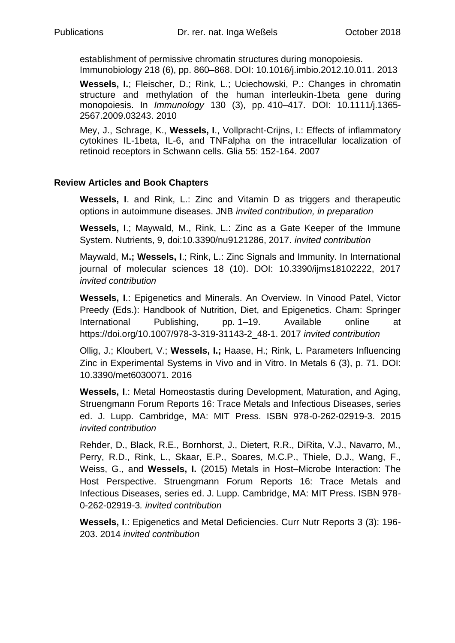establishment of permissive chromatin structures during monopoiesis. Immunobiology 218 (6), pp. 860–868. DOI: 10.1016/j.imbio.2012.10.011. 2013

**Wessels, I.**; Fleischer, D.; Rink, L.; Uciechowski, P.: Changes in chromatin structure and methylation of the human interleukin-1beta gene during monopoiesis. In *Immunology* 130 (3), pp. 410–417. DOI: 10.1111/j.1365- 2567.2009.03243. 2010

Mey, J., Schrage, K., **Wessels, I**., Vollpracht-Crijns, I.: Effects of inflammatory cytokines IL-1beta, IL-6, and TNFalpha on the intracellular localization of retinoid receptors in Schwann cells. Glia 55: 152-164. 2007

## **Review Articles and Book Chapters**

Wessels, I. and Rink, L.: Zinc and Vitamin D as triggers and therapeutic options in autoimmune diseases. JNB *invited contribution, in preparation*

**Wessels, I**.; Maywald, M., Rink, L.: Zinc as a Gate Keeper of the Immune System. Nutrients, 9, doi:10.3390/nu9121286, 2017. *invited contribution*

Maywald, M**.; Wessels, I**.; Rink, L.: Zinc Signals and Immunity. In International journal of molecular sciences 18 (10). DOI: 10.3390/ijms18102222, 2017 *invited contribution*

**Wessels, I**.: Epigenetics and Minerals. An Overview. In Vinood Patel, Victor Preedy (Eds.): Handbook of Nutrition, Diet, and Epigenetics. Cham: Springer International Publishing, pp. 1–19. Available online at [https://doi.org/10.1007/978-3-319-31143-2\\_48-1.](https://doi.org/10.1007/978-3-319-31143-2_48-1) 2017 *invited contribution*

Ollig, J.; Kloubert, V.; **Wessels, I.;** Haase, H.; Rink, L. Parameters Influencing Zinc in Experimental Systems in Vivo and in Vitro. In Metals 6 (3), p. 71. DOI: 10.3390/met6030071. 2016

**Wessels, I**.: Metal Homeostastis during Development, Maturation, and Aging, Struengmann Forum Reports 16: Trace Metals and Infectious Diseases, series ed. J. Lupp. Cambridge, MA: MIT Press. ISBN 978-0-262-02919-3. 2015 *invited contribution*

Rehder, D., Black, R.E., Bornhorst, J., Dietert, R.R., DiRita, V.J., Navarro, M., Perry, R.D., Rink, L., Skaar, E.P., Soares, M.C.P., Thiele, D.J., Wang, F., Weiss, G., and **Wessels, I.** (2015) Metals in Host–Microbe Interaction: The Host Perspective. Struengmann Forum Reports 16: Trace Metals and Infectious Diseases, series ed. J. Lupp. Cambridge, MA: MIT Press. ISBN 978- 0-262-02919-3*. invited contribution*

**Wessels, I**.: Epigenetics and Metal Deficiencies. Curr Nutr Reports 3 (3): 196- 203. 2014 *invited contribution*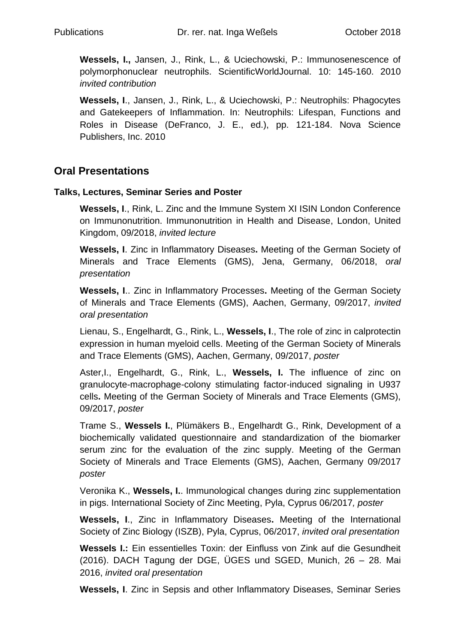**Wessels, I.,** Jansen, J., Rink, L., & Uciechowski, P.: Immunosenescence of polymorphonuclear neutrophils. ScientificWorldJournal. 10: 145-160. 2010 *invited contribution*

**Wessels, I**., Jansen, J., Rink, L., & Uciechowski, P.: Neutrophils: Phagocytes and Gatekeepers of Inflammation. In: Neutrophils: Lifespan, Functions and Roles in Disease (DeFranco, J. E., ed.), pp. 121-184. Nova Science Publishers, Inc. 2010

## **Oral Presentations**

## **Talks, Lectures, Seminar Series and Poster**

**Wessels, I**., Rink, L. Zinc and the Immune System XI ISIN London Conference on Immunonutrition. Immunonutrition in Health and Disease, London, United Kingdom, 09/2018, *invited lecture*

**Wessels, I**. Zinc in Inflammatory Diseases**.** Meeting of the German Society of Minerals and Trace Elements (GMS), Jena, Germany, 06/2018, *oral presentation*

**Wessels, I**.. Zinc in Inflammatory Processes**.** Meeting of the German Society of Minerals and Trace Elements (GMS), Aachen, Germany, 09/2017, *invited oral presentation*

Lienau, S., Engelhardt, G., Rink, L., **Wessels, I**., The role of zinc in calprotectin expression in human myeloid cells. Meeting of the German Society of Minerals and Trace Elements (GMS), Aachen, Germany, 09/2017, *poster*

Aster,I., Engelhardt, G., Rink, L., **Wessels, I.** The influence of zinc on granulocyte-macrophage-colony stimulating factor-induced signaling in U937 cells**.** Meeting of the German Society of Minerals and Trace Elements (GMS), 09/2017, *poster*

Trame S., **Wessels I.**, Plümäkers B., Engelhardt G., Rink, Development of a biochemically validated questionnaire and standardization of the biomarker serum zinc for the evaluation of the zinc supply. Meeting of the German Society of Minerals and Trace Elements (GMS), Aachen, Germany 09/2017 *poster*

Veronika K., **Wessels, I.**. Immunological changes during zinc supplementation in pigs. International Society of Zinc Meeting, Pyla, Cyprus 06/2017*, poster*

**Wessels, I**., Zinc in Inflammatory Diseases**.** Meeting of the International Society of Zinc Biology (ISZB), Pyla, Cyprus, 06/2017, *invited oral presentation*

**Wessels I.:** Ein essentielles Toxin: der Einfluss von Zink auf die Gesundheit (2016). DACH Tagung der DGE, ÜGES und SGED, Munich, 26 – 28. Mai 2016, *invited oral presentation*

**Wessels, I**. Zinc in Sepsis and other Inflammatory Diseases, Seminar Series